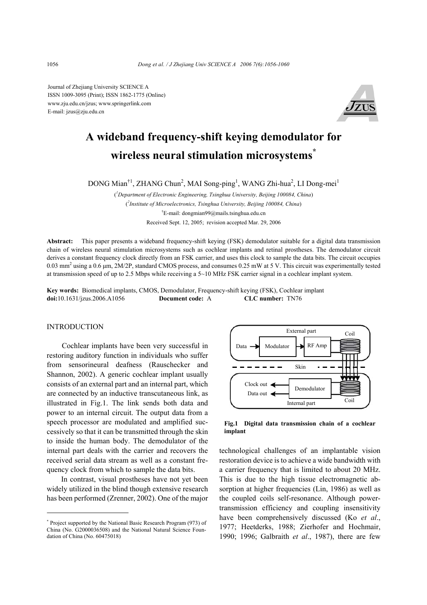Journal of Zhejiang University SCIENCE A ISSN 1009-3095 (Print); ISSN 1862-1775 (Online) www.zju.edu.cn/jzus; www.springerlink.com E-mail: jzus@zju.edu.cn



# **A wideband frequency-shift keying demodulator for wireless neural stimulation microsystems\***

DONG Mian<sup>†1</sup>, ZHANG Chun<sup>2</sup>, MAI Song-ping<sup>1</sup>, WANG Zhi-hua<sup>2</sup>, LI Dong-mei<sup>1</sup>

( *1 Department of Electronic Engineering, Tsinghua University, Beijing 100084, China*) ( *2 Institute of Microelectronics, Tsinghua University, Beijing 100084, China*) † E-mail: dongmian99@mails.tsinghua.edu.cn Received Sept. 12, 2005; revision accepted Mar. 29, 2006

**Abstract:** This paper presents a wideband frequency-shift keying (FSK) demodulator suitable for a digital data transmission chain of wireless neural stimulation microsystems such as cochlear implants and retinal prostheses. The demodulator circuit derives a constant frequency clock directly from an FSK carrier, and uses this clock to sample the data bits. The circuit occupies 0.03 mm<sup>2</sup> using a 0.6  $\mu$ m, 2M/2P, standard CMOS process, and consumes 0.25 mW at 5 V. This circuit was experimentally tested at transmission speed of up to 2.5 Mbps while receiving a 5~10 MHz FSK carrier signal in a cochlear implant system.

**Key words:** Biomedical implants, CMOS, Demodulator, Frequency-shift keying (FSK), Cochlear implant **doi:**10.1631/jzus.2006.A1056 **Document code:** A **CLC number:** TN76

#### INTRODUCTION

Cochlear implants have been very successful in restoring auditory function in individuals who suffer from sensorineural deafness (Rauschecker and Shannon, 2002). A generic cochlear implant usually consists of an external part and an internal part, which are connected by an inductive transcutaneous link, as illustrated in Fig.1. The link sends both data and power to an internal circuit. The output data from a speech processor are modulated and amplified successively so that it can be transmitted through the skin to inside the human body. The demodulator of the internal part deals with the carrier and recovers the received serial data stream as well as a constant frequency clock from which to sample the data bits.

In contrast, visual prostheses have not yet been widely utilized in the blind though extensive research has been performed (Zrenner, 2002). One of the major



**Fig.1 Digital data transmission chain of a cochlear implant** 

technological challenges of an implantable vision restoration device is to achieve a wide bandwidth with a carrier frequency that is limited to about 20 MHz. This is due to the high tissue electromagnetic absorption at higher frequencies (Lin, 1986) as well as the coupled coils self-resonance. Although powertransmission efficiency and coupling insensitivity have been comprehensively discussed (Ko *et al*., 1977; Heetderks, 1988; Zierhofer and Hochmair, 1990; 1996; Galbraith *et al*., 1987), there are few

<sup>\*</sup> Project supported by the National Basic Research Program (973) of China (No. G2000036508) and the National Natural Science Foundation of China (No. 60475018)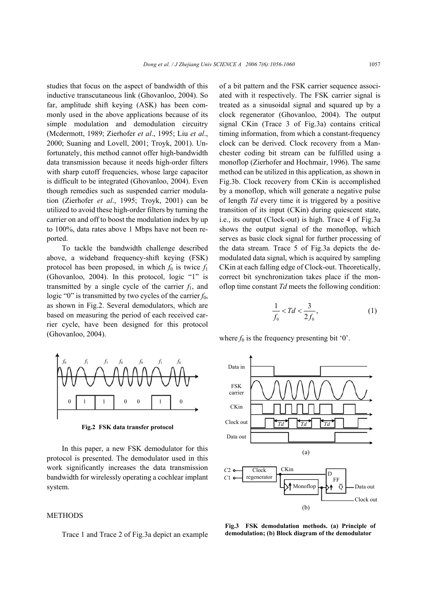studies that focus on the aspect of bandwidth of this inductive transcutaneous link (Ghovanloo, 2004). So far, amplitude shift keying (ASK) has been commonly used in the above applications because of its simple modulation and demodulation circuitry (Mcdermott, 1989; Zierhofer *et al*., 1995; Liu *et al*., 2000; Suaning and Lovell, 2001; Troyk, 2001). Unfortunately, this method cannot offer high-bandwidth data transmission because it needs high-order filters with sharp cutoff frequencies, whose large capacitor is difficult to be integrated (Ghovanloo, 2004). Even though remedies such as suspended carrier modulation (Zierhofer *et al*., 1995; Troyk, 2001) can be utilized to avoid these high-order filters by turning the carrier on and off to boost the modulation index by up to 100%, data rates above 1 Mbps have not been reported.

To tackle the bandwidth challenge described above, a wideband frequency-shift keying (FSK) protocol has been proposed, in which  $f_0$  is twice  $f_1$ (Ghovanloo, 2004). In this protocol, logic "1" is transmitted by a single cycle of the carrier  $f_1$ , and logic "0" is transmitted by two cycles of the carrier  $f_0$ , as shown in Fig.2. Several demodulators, which are based on measuring the period of each received carrier cycle, have been designed for this protocol (Ghovanloo, 2004).



**Fig.2 FSK data transfer protocol** 

In this paper, a new FSK demodulator for this protocol is presented. The demodulator used in this work significantly increases the data transmission bandwidth for wirelessly operating a cochlear implant system.

# **METHODS**

Trace 1 and Trace 2 of Fig.3a depict an example

of a bit pattern and the FSK carrier sequence associated with it respectively. The FSK carrier signal is treated as a sinusoidal signal and squared up by a clock regenerator (Ghovanloo, 2004). The output signal CKin (Trace 3 of Fig.3a) contains critical timing information, from which a constant-frequency clock can be derived. Clock recovery from a Manchester coding bit stream can be fulfilled using a monoflop (Zierhofer and Hochmair, 1996). The same method can be utilized in this application, as shown in Fig.3b. Clock recovery from CKin is accomplished by a monoflop, which will generate a negative pulse of length *Td* every time it is triggered by a positive transition of its input (CKin) during quiescent state, i.e., its output (Clock-out) is high. Trace 4 of Fig.3a shows the output signal of the monoflop, which serves as basic clock signal for further processing of the data stream. Trace 5 of Fig.3a depicts the demodulated data signal, which is acquired by sampling CKin at each falling edge of Clock-out. Theoretically, correct bit synchronization takes place if the monoflop time constant *Td* meets the following condition:

$$
\frac{1}{f_0} < Td < \frac{3}{2f_0},\tag{1}
$$

where  $f_0$  is the frequency presenting bit  $\theta$ .



Fig.3 FSK demodulation methods. (a) Principle of **demodulation; (b) Block diagram of the demodulator**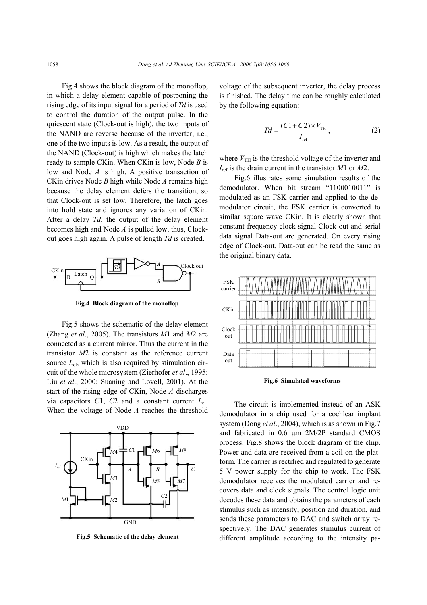Fig.4 shows the block diagram of the monoflop, in which a delay element capable of postponing the rising edge of its input signal for a period of *Td* is used to control the duration of the output pulse. In the quiescent state (Clock-out is high), the two inputs of the NAND are reverse because of the inverter, i.e., one of the two inputs is low. As a result, the output of the NAND (Clock-out) is high which makes the latch ready to sample CKin. When CKin is low, Node *B* is low and Node *A* is high. A positive transaction of CKin drives Node *B* high while Node *A* remains high because the delay element defers the transition, so that Clock-out is set low. Therefore, the latch goes into hold state and ignores any variation of CKin. After a delay *Td*, the output of the delay element becomes high and Node *A* is pulled low, thus, Clockout goes high again. A pulse of length *Td* is created.



**Fig.4 Block diagram of the monoflop** 

Fig.5 shows the schematic of the delay element (Zhang *et al*., 2005). The transistors *M*1 and *M*2 are connected as a current mirror. Thus the current in the transistor *M*2 is constant as the reference current source  $I_{ref}$ , which is also required by stimulation circuit of the whole microsystem (Zierhofer *et al*., 1995; Liu *et al*., 2000; Suaning and Lovell, 2001). At the start of the rising edge of CKin, Node *A* discharges via capacitors *C*1, *C*2 and a constant current *I*ref. When the voltage of Node *A* reaches the threshold



**Fig.5 Schematic of the delay element** 

voltage of the subsequent inverter, the delay process is finished. The delay time can be roughly calculated by the following equation:

$$
Td = \frac{(C1 + C2) \times V_{\text{TH}}}{I_{\text{ref}}},\tag{2}
$$

where  $V_{\text{TH}}$  is the threshold voltage of the inverter and *I*ref is the drain current in the transistor *M*1 or *M*2.

Fig.6 illustrates some simulation results of the demodulator. When bit stream "1100010011" is modulated as an FSK carrier and applied to the demodulator circuit, the FSK carrier is converted to similar square wave CKin. It is clearly shown that constant frequency clock signal Clock-out and serial data signal Data-out are generated. On every rising edge of Clock-out, Data-out can be read the same as the original binary data.



**Fig.6 Simulated waveforms** 

The circuit is implemented instead of an ASK demodulator in a chip used for a cochlear implant system (Dong *et al*., 2004), which is as shown in Fig.7 and fabricated in 0.6 µm 2M/2P standard CMOS process. Fig.8 shows the block diagram of the chip. Power and data are received from a coil on the platform. The carrier is rectified and regulated to generate 5 V power supply for the chip to work. The FSK demodulator receives the modulated carrier and recovers data and clock signals. The control logic unit decodes these data and obtains the parameters of each stimulus such as intensity, position and duration, and sends these parameters to DAC and switch array respectively. The DAC generates stimulus current of different amplitude according to the intensity pa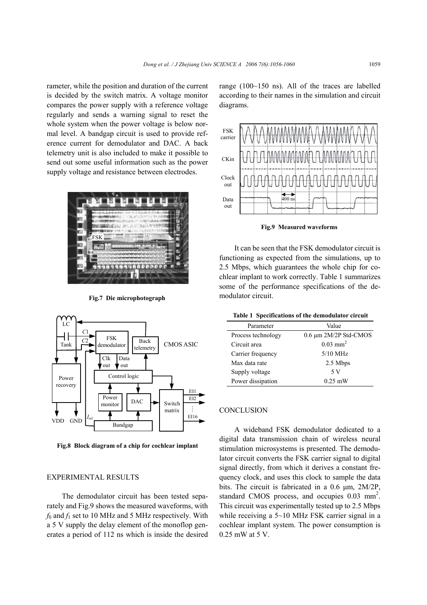rameter, while the position and duration of the current is decided by the switch matrix. A voltage monitor compares the power supply with a reference voltage regularly and sends a warning signal to reset the whole system when the power voltage is below normal level. A bandgap circuit is used to provide reference current for demodulator and DAC. A back telemetry unit is also included to make it possible to send out some useful information such as the power supply voltage and resistance between electrodes.



**Fig.7 Die microphotograph** 



**Fig.8 Block diagram of a chip for cochlear implant**

## EXPERIMENTAL RESULTS

The demodulator circuit has been tested separately and Fig.9 shows the measured waveforms, with  $f_0$  and  $f_1$  set to 10 MHz and 5 MHz respectively. With a 5 V supply the delay element of the monoflop generates a period of 112 ns which is inside the desired range (100~150 ns). All of the traces are labelled according to their names in the simulation and circuit diagrams.



**Fig.9 Measured waveforms** 

It can be seen that the FSK demodulator circuit is functioning as expected from the simulations, up to 2.5 Mbps, which guarantees the whole chip for cochlear implant to work correctly. Table 1 summarizes some of the performance specifications of the demodulator circuit.

| Table 1 Specifications of the demodulator circuit |  |  |  |  |  |
|---------------------------------------------------|--|--|--|--|--|
|---------------------------------------------------|--|--|--|--|--|

| Parameter          | Value                      |  |  |
|--------------------|----------------------------|--|--|
| Process technology | $0.6 \mu m$ 2M/2P Std-CMOS |  |  |
| Circuit area       | $0.03$ mm <sup>2</sup>     |  |  |
| Carrier frequency  | $5/10$ MHz                 |  |  |
| Max data rate      | 2.5 Mbps                   |  |  |
| Supply voltage     | 5 V                        |  |  |
| Power dissipation  | $0.25$ mW                  |  |  |

### **CONCLUSION**

A wideband FSK demodulator dedicated to a digital data transmission chain of wireless neural stimulation microsystems is presented. The demodulator circuit converts the FSK carrier signal to digital signal directly, from which it derives a constant frequency clock, and uses this clock to sample the data bits. The circuit is fabricated in a 0.6 µm, 2M/2P, standard CMOS process, and occupies  $0.03$  mm<sup>2</sup>. This circuit was experimentally tested up to 2.5 Mbps while receiving a 5~10 MHz FSK carrier signal in a cochlear implant system. The power consumption is 0.25 mW at 5 V.